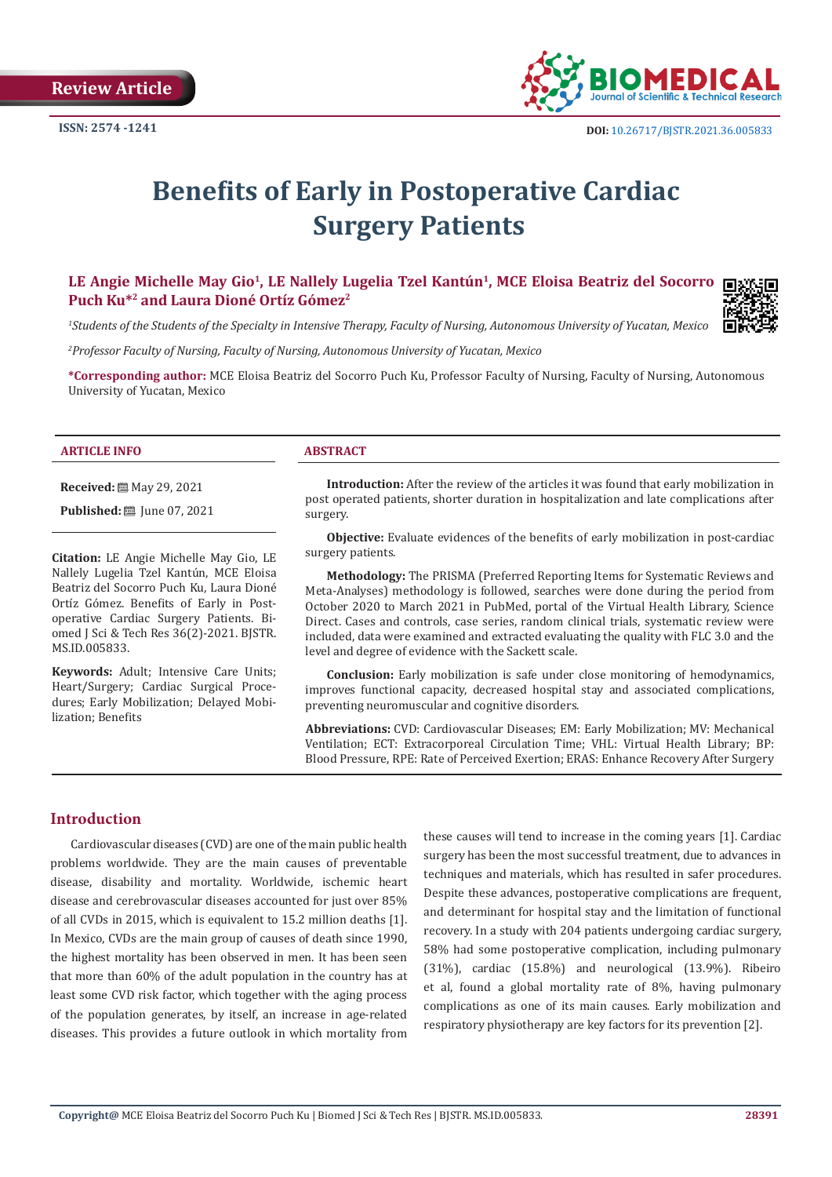**Review Article**

**ISSN: 2574 -1241**



# **Benefits of Early in Postoperative Cardiac Surgery Patients**

# **LE Angie Michelle May Gio<sup>1</sup>, LE Nallely Lugelia Tzel Kantún<sup>1</sup>, MCE Eloisa Beatriz del Socorro Puch Ku\*<sup>2</sup> and Laura Dioné Ortíz Gómez<sup>2</sup>**

*1 Students of the Students of the Specialty in Intensive Therapy, Faculty of Nursing, Autonomous University of Yucatan, Mexico*

*2 Professor Faculty of Nursing, Faculty of Nursing, Autonomous University of Yucatan, Mexico*

**\*Corresponding author:** MCE Eloisa Beatriz del Socorro Puch Ku, Professor Faculty of Nursing, Faculty of Nursing, Autonomous University of Yucatan, Mexico

#### **ARTICLE INFO ABSTRACT**

**Received:** ■ May 29, 2021

**Published:** ■ June 07, 2021

**Citation:** LE Angie Michelle May Gio, LE Nallely Lugelia Tzel Kantún, MCE Eloisa Beatriz del Socorro Puch Ku, Laura Dioné Ortíz Gómez. Benefits of Early in Postoperative Cardiac Surgery Patients. Biomed J Sci & Tech Res 36(2)-2021. BJSTR. MS.ID.005833.

**Keywords:** Adult; Intensive Care Units; Heart/Surgery; Cardiac Surgical Procedures; Early Mobilization; Delayed Mobilization; Benefits

**Introduction:** After the review of the articles it was found that early mobilization in post operated patients, shorter duration in hospitalization and late complications after surgery.

**Objective:** Evaluate evidences of the benefits of early mobilization in post-cardiac surgery patients.

**Methodology:** The PRISMA (Preferred Reporting Items for Systematic Reviews and Meta-Analyses) methodology is followed, searches were done during the period from October 2020 to March 2021 in PubMed, portal of the Virtual Health Library, Science Direct. Cases and controls, case series, random clinical trials, systematic review were included, data were examined and extracted evaluating the quality with FLC 3.0 and the level and degree of evidence with the Sackett scale.

**Conclusion:** Early mobilization is safe under close monitoring of hemodynamics, improves functional capacity, decreased hospital stay and associated complications, preventing neuromuscular and cognitive disorders.

**Abbreviations:** CVD: Cardiovascular Diseases; EM: Early Mobilization; MV: Mechanical Ventilation; ECT: Extracorporeal Circulation Time; VHL: Virtual Health Library; BP: Blood Pressure, RPE: Rate of Perceived Exertion; ERAS: Enhance Recovery After Surgery

# **Introduction**

Cardiovascular diseases (CVD) are one of the main public health problems worldwide. They are the main causes of preventable disease, disability and mortality. Worldwide, ischemic heart disease and cerebrovascular diseases accounted for just over 85% of all CVDs in 2015, which is equivalent to 15.2 million deaths [1]. In Mexico, CVDs are the main group of causes of death since 1990, the highest mortality has been observed in men. It has been seen that more than 60% of the adult population in the country has at least some CVD risk factor, which together with the aging process of the population generates, by itself, an increase in age-related diseases. This provides a future outlook in which mortality from

these causes will tend to increase in the coming years [1]. Cardiac surgery has been the most successful treatment, due to advances in techniques and materials, which has resulted in safer procedures. Despite these advances, postoperative complications are frequent, and determinant for hospital stay and the limitation of functional recovery. In a study with 204 patients undergoing cardiac surgery, 58% had some postoperative complication, including pulmonary (31%), cardiac (15.8%) and neurological (13.9%). Ribeiro et al, found a global mortality rate of 8%, having pulmonary complications as one of its main causes. Early mobilization and respiratory physiotherapy are key factors for its prevention [2].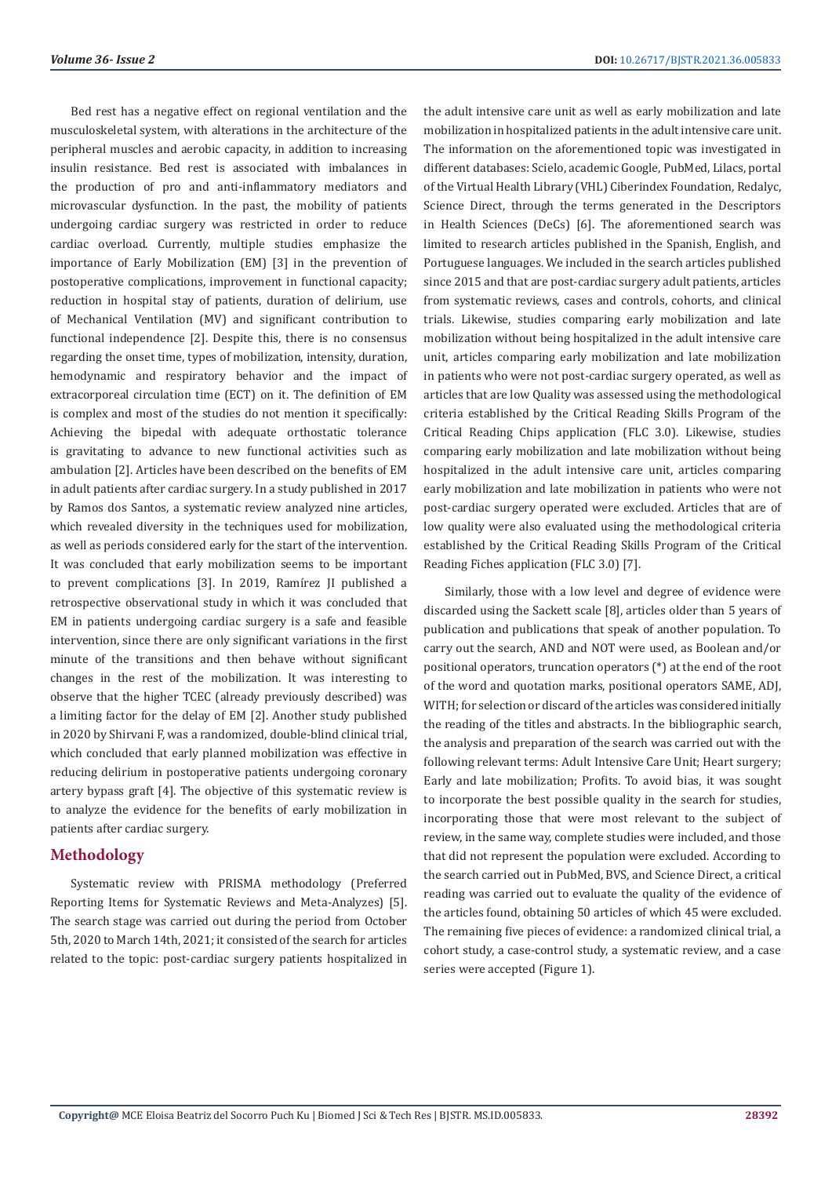Bed rest has a negative effect on regional ventilation and the musculoskeletal system, with alterations in the architecture of the peripheral muscles and aerobic capacity, in addition to increasing insulin resistance. Bed rest is associated with imbalances in the production of pro and anti-inflammatory mediators and microvascular dysfunction. In the past, the mobility of patients undergoing cardiac surgery was restricted in order to reduce cardiac overload. Currently, multiple studies emphasize the importance of Early Mobilization (EM) [3] in the prevention of postoperative complications, improvement in functional capacity; reduction in hospital stay of patients, duration of delirium, use of Mechanical Ventilation (MV) and significant contribution to functional independence [2]. Despite this, there is no consensus regarding the onset time, types of mobilization, intensity, duration, hemodynamic and respiratory behavior and the impact of extracorporeal circulation time (ECT) on it. The definition of EM is complex and most of the studies do not mention it specifically: Achieving the bipedal with adequate orthostatic tolerance is gravitating to advance to new functional activities such as ambulation [2]. Articles have been described on the benefits of EM in adult patients after cardiac surgery. In a study published in 2017 by Ramos dos Santos, a systematic review analyzed nine articles, which revealed diversity in the techniques used for mobilization, as well as periods considered early for the start of the intervention. It was concluded that early mobilization seems to be important to prevent complications [3]. In 2019, Ramírez JI published a retrospective observational study in which it was concluded that EM in patients undergoing cardiac surgery is a safe and feasible intervention, since there are only significant variations in the first minute of the transitions and then behave without significant changes in the rest of the mobilization. It was interesting to observe that the higher TCEC (already previously described) was a limiting factor for the delay of EM [2]. Another study published in 2020 by Shirvani F, was a randomized, double-blind clinical trial, which concluded that early planned mobilization was effective in reducing delirium in postoperative patients undergoing coronary artery bypass graft [4]. The objective of this systematic review is to analyze the evidence for the benefits of early mobilization in patients after cardiac surgery.

# **Methodology**

Systematic review with PRISMA methodology (Preferred Reporting Items for Systematic Reviews and Meta-Analyzes) [5]. The search stage was carried out during the period from October 5th, 2020 to March 14th, 2021; it consisted of the search for articles related to the topic: post-cardiac surgery patients hospitalized in

the adult intensive care unit as well as early mobilization and late mobilization in hospitalized patients in the adult intensive care unit. The information on the aforementioned topic was investigated in different databases: Scielo, academic Google, PubMed, Lilacs, portal of the Virtual Health Library (VHL) Ciberindex Foundation, Redalyc, Science Direct, through the terms generated in the Descriptors in Health Sciences (DeCs) [6]. The aforementioned search was limited to research articles published in the Spanish, English, and Portuguese languages. We included in the search articles published since 2015 and that are post-cardiac surgery adult patients, articles from systematic reviews, cases and controls, cohorts, and clinical trials. Likewise, studies comparing early mobilization and late mobilization without being hospitalized in the adult intensive care unit, articles comparing early mobilization and late mobilization in patients who were not post-cardiac surgery operated, as well as articles that are low Quality was assessed using the methodological criteria established by the Critical Reading Skills Program of the Critical Reading Chips application (FLC 3.0). Likewise, studies comparing early mobilization and late mobilization without being hospitalized in the adult intensive care unit, articles comparing early mobilization and late mobilization in patients who were not post-cardiac surgery operated were excluded. Articles that are of low quality were also evaluated using the methodological criteria established by the Critical Reading Skills Program of the Critical Reading Fiches application (FLC 3.0) [7].

Similarly, those with a low level and degree of evidence were discarded using the Sackett scale [8], articles older than 5 years of publication and publications that speak of another population. To carry out the search, AND and NOT were used, as Boolean and/or positional operators, truncation operators (\*) at the end of the root of the word and quotation marks, positional operators SAME, ADJ, WITH; for selection or discard of the articles was considered initially the reading of the titles and abstracts. In the bibliographic search, the analysis and preparation of the search was carried out with the following relevant terms: Adult Intensive Care Unit; Heart surgery; Early and late mobilization; Profits. To avoid bias, it was sought to incorporate the best possible quality in the search for studies, incorporating those that were most relevant to the subject of review, in the same way, complete studies were included, and those that did not represent the population were excluded. According to the search carried out in PubMed, BVS, and Science Direct, a critical reading was carried out to evaluate the quality of the evidence of the articles found, obtaining 50 articles of which 45 were excluded. The remaining five pieces of evidence: a randomized clinical trial, a cohort study, a case-control study, a systematic review, and a case series were accepted (Figure 1).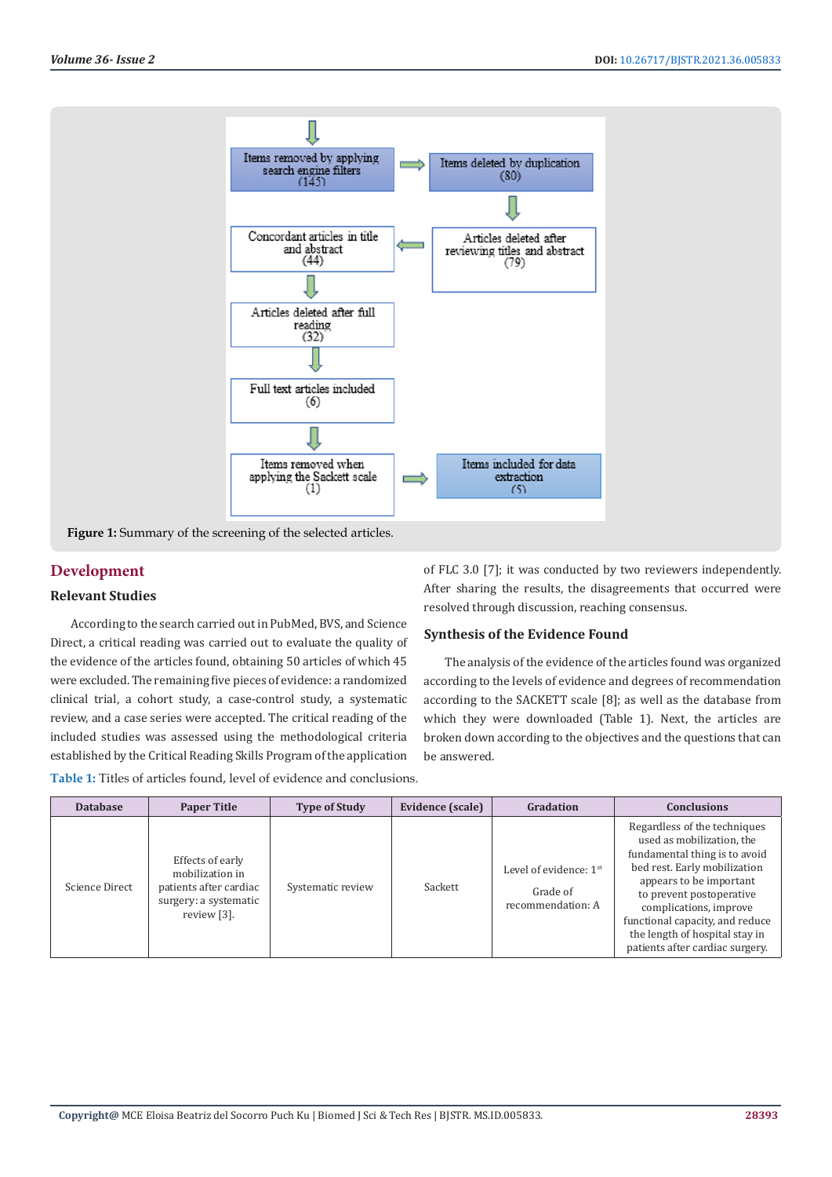

**Figure 1:** Summary of the screening of the selected articles.

# **Development**

# **Relevant Studies**

According to the search carried out in PubMed, BVS, and Science Direct, a critical reading was carried out to evaluate the quality of the evidence of the articles found, obtaining 50 articles of which 45 were excluded. The remaining five pieces of evidence: a randomized clinical trial, a cohort study, a case-control study, a systematic review, and a case series were accepted. The critical reading of the included studies was assessed using the methodological criteria established by the Critical Reading Skills Program of the application

**Table 1:** Titles of articles found, level of evidence and conclusions.

of FLC 3.0 [7]; it was conducted by two reviewers independently. After sharing the results, the disagreements that occurred were resolved through discussion, reaching consensus.

### **Synthesis of the Evidence Found**

The analysis of the evidence of the articles found was organized according to the levels of evidence and degrees of recommendation according to the SACKETT scale [8]; as well as the database from which they were downloaded (Table 1). Next, the articles are broken down according to the objectives and the questions that can be answered.

| <b>Database</b> | <b>Paper Title</b>                                                                                    | <b>Type of Study</b> | Evidence (scale) | Gradation                                                           | <b>Conclusions</b>                                                                                                                                                                                                                                                                                                  |
|-----------------|-------------------------------------------------------------------------------------------------------|----------------------|------------------|---------------------------------------------------------------------|---------------------------------------------------------------------------------------------------------------------------------------------------------------------------------------------------------------------------------------------------------------------------------------------------------------------|
| Science Direct  | Effects of early<br>mobilization in<br>patients after cardiac<br>surgery: a systematic<br>review [3]. | Systematic review    | Sackett          | Level of evidence: 1 <sup>st</sup><br>Grade of<br>recommendation: A | Regardless of the techniques<br>used as mobilization, the<br>fundamental thing is to avoid<br>bed rest. Early mobilization<br>appears to be important<br>to prevent postoperative<br>complications, improve<br>functional capacity, and reduce<br>the length of hospital stay in<br>patients after cardiac surgery. |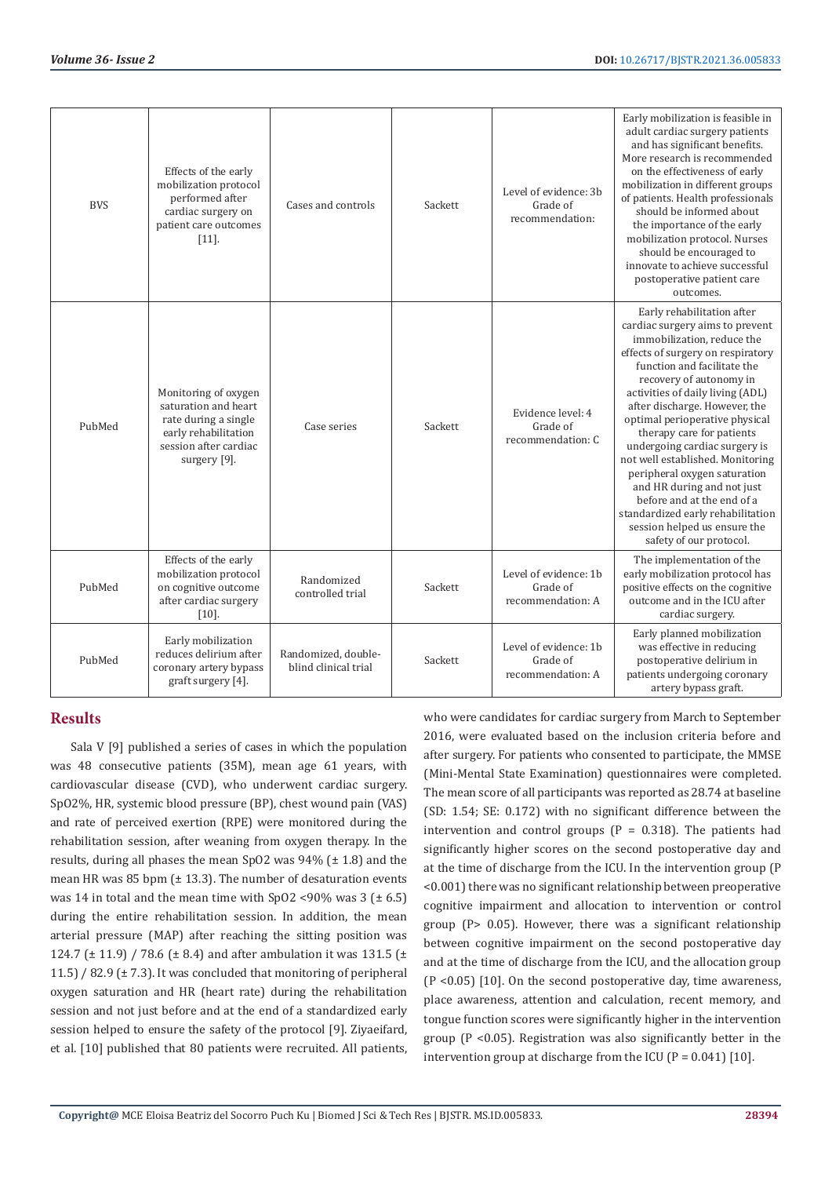| <b>BVS</b> | Effects of the early<br>mobilization protocol<br>performed after<br>cardiac surgery on<br>patient care outcomes<br>$[11]$ .           | Cases and controls                          | Sackett | Level of evidence: 3b<br>Grade of<br>recommendation:   | Early mobilization is feasible in<br>adult cardiac surgery patients<br>and has significant benefits.<br>More research is recommended<br>on the effectiveness of early<br>mobilization in different groups<br>of patients. Health professionals<br>should be informed about<br>the importance of the early<br>mobilization protocol. Nurses<br>should be encouraged to<br>innovate to achieve successful<br>postoperative patient care<br>outcomes.                                                                                                                                              |
|------------|---------------------------------------------------------------------------------------------------------------------------------------|---------------------------------------------|---------|--------------------------------------------------------|-------------------------------------------------------------------------------------------------------------------------------------------------------------------------------------------------------------------------------------------------------------------------------------------------------------------------------------------------------------------------------------------------------------------------------------------------------------------------------------------------------------------------------------------------------------------------------------------------|
| PubMed     | Monitoring of oxygen<br>saturation and heart<br>rate during a single<br>early rehabilitation<br>session after cardiac<br>surgery [9]. | Case series                                 | Sackett | Evidence level: 4<br>Grade of<br>recommendation: C     | Early rehabilitation after<br>cardiac surgery aims to prevent<br>immobilization, reduce the<br>effects of surgery on respiratory<br>function and facilitate the<br>recovery of autonomy in<br>activities of daily living (ADL)<br>after discharge. However, the<br>optimal perioperative physical<br>therapy care for patients<br>undergoing cardiac surgery is<br>not well established. Monitoring<br>peripheral oxygen saturation<br>and HR during and not just<br>before and at the end of a<br>standardized early rehabilitation<br>session helped us ensure the<br>safety of our protocol. |
| PubMed     | Effects of the early<br>mobilization protocol<br>on cognitive outcome<br>after cardiac surgery<br>$[10]$ .                            | Randomized<br>controlled trial              | Sackett | Level of evidence: 1b<br>Grade of<br>recommendation: A | The implementation of the<br>early mobilization protocol has<br>positive effects on the cognitive<br>outcome and in the ICU after<br>cardiac surgery.                                                                                                                                                                                                                                                                                                                                                                                                                                           |
| PubMed     | Early mobilization<br>reduces delirium after<br>coronary artery bypass<br>graft surgery [4].                                          | Randomized, double-<br>blind clinical trial | Sackett | Level of evidence: 1b<br>Grade of<br>recommendation: A | Early planned mobilization<br>was effective in reducing<br>postoperative delirium in<br>patients undergoing coronary<br>artery bypass graft.                                                                                                                                                                                                                                                                                                                                                                                                                                                    |

# **Results**

Sala V [9] published a series of cases in which the population was 48 consecutive patients (35M), mean age 61 years, with cardiovascular disease (CVD), who underwent cardiac surgery. SpO2%, HR, systemic blood pressure (BP), chest wound pain (VAS) and rate of perceived exertion (RPE) were monitored during the rehabilitation session, after weaning from oxygen therapy. In the results, during all phases the mean SpO2 was 94% (± 1.8) and the mean HR was 85 bpm  $(\pm 13.3)$ . The number of desaturation events was 14 in total and the mean time with SpO2 <90% was  $3$  ( $\pm$  6.5) during the entire rehabilitation session. In addition, the mean arterial pressure (MAP) after reaching the sitting position was 124.7 (± 11.9) / 78.6 (± 8.4) and after ambulation it was 131.5 (± 11.5) / 82.9 (± 7.3). It was concluded that monitoring of peripheral oxygen saturation and HR (heart rate) during the rehabilitation session and not just before and at the end of a standardized early session helped to ensure the safety of the protocol [9]. Ziyaeifard, et al. [10] published that 80 patients were recruited. All patients, who were candidates for cardiac surgery from March to September 2016, were evaluated based on the inclusion criteria before and after surgery. For patients who consented to participate, the MMSE (Mini-Mental State Examination) questionnaires were completed. The mean score of all participants was reported as 28.74 at baseline (SD: 1.54; SE: 0.172) with no significant difference between the intervention and control groups ( $P = 0.318$ ). The patients had significantly higher scores on the second postoperative day and at the time of discharge from the ICU. In the intervention group (P <0.001) there was no significant relationship between preoperative cognitive impairment and allocation to intervention or control group (P> 0.05). However, there was a significant relationship between cognitive impairment on the second postoperative day and at the time of discharge from the ICU, and the allocation group (P <0.05) [10]. On the second postoperative day, time awareness, place awareness, attention and calculation, recent memory, and tongue function scores were significantly higher in the intervention group (P <0.05). Registration was also significantly better in the intervention group at discharge from the ICU ( $P = 0.041$ ) [10].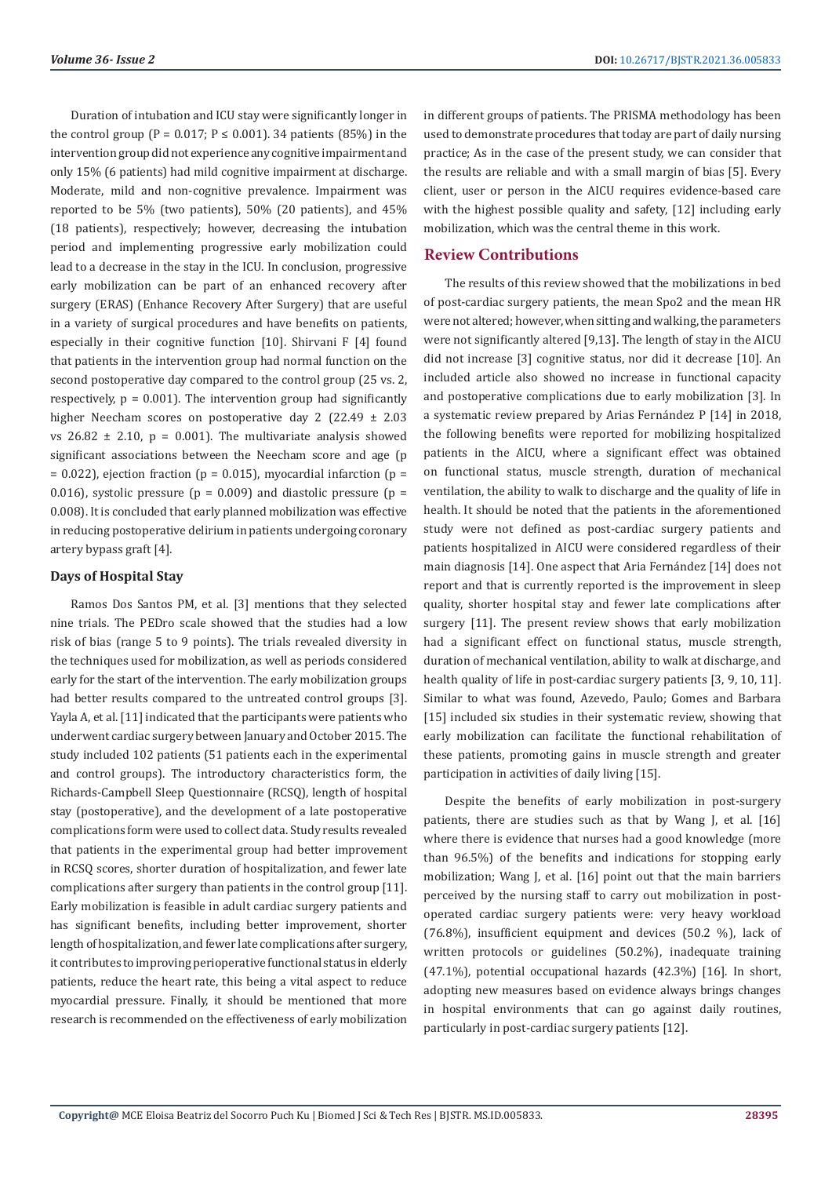Duration of intubation and ICU stay were significantly longer in the control group (P =  $0.017$ ; P  $\leq$  0.001). 34 patients (85%) in the intervention group did not experience any cognitive impairment and only 15% (6 patients) had mild cognitive impairment at discharge. Moderate, mild and non-cognitive prevalence. Impairment was reported to be 5% (two patients), 50% (20 patients), and 45% (18 patients), respectively; however, decreasing the intubation period and implementing progressive early mobilization could lead to a decrease in the stay in the ICU. In conclusion, progressive early mobilization can be part of an enhanced recovery after surgery (ERAS) (Enhance Recovery After Surgery) that are useful in a variety of surgical procedures and have benefits on patients, especially in their cognitive function [10]. Shirvani F [4] found that patients in the intervention group had normal function on the second postoperative day compared to the control group (25 vs. 2, respectively,  $p = 0.001$ ). The intervention group had significantly higher Neecham scores on postoperative day 2 (22.49 ± 2.03 vs  $26.82 \pm 2.10$ ,  $p = 0.001$ . The multivariate analysis showed significant associations between the Neecham score and age (p  $= 0.022$ ), ejection fraction (p = 0.015), myocardial infarction (p = 0.016), systolic pressure ( $p = 0.009$ ) and diastolic pressure ( $p =$ 0.008). It is concluded that early planned mobilization was effective in reducing postoperative delirium in patients undergoing coronary artery bypass graft [4].

### **Days of Hospital Stay**

Ramos Dos Santos PM, et al. [3] mentions that they selected nine trials. The PEDro scale showed that the studies had a low risk of bias (range 5 to 9 points). The trials revealed diversity in the techniques used for mobilization, as well as periods considered early for the start of the intervention. The early mobilization groups had better results compared to the untreated control groups [3]. Yayla A, et al. [11] indicated that the participants were patients who underwent cardiac surgery between January and October 2015. The study included 102 patients (51 patients each in the experimental and control groups). The introductory characteristics form, the Richards-Campbell Sleep Questionnaire (RCSQ), length of hospital stay (postoperative), and the development of a late postoperative complications form were used to collect data. Study results revealed that patients in the experimental group had better improvement in RCSQ scores, shorter duration of hospitalization, and fewer late complications after surgery than patients in the control group [11]. Early mobilization is feasible in adult cardiac surgery patients and has significant benefits, including better improvement, shorter length of hospitalization, and fewer late complications after surgery, it contributes to improving perioperative functional status in elderly patients, reduce the heart rate, this being a vital aspect to reduce myocardial pressure. Finally, it should be mentioned that more research is recommended on the effectiveness of early mobilization

in different groups of patients. The PRISMA methodology has been used to demonstrate procedures that today are part of daily nursing practice; As in the case of the present study, we can consider that the results are reliable and with a small margin of bias [5]. Every client, user or person in the AICU requires evidence-based care with the highest possible quality and safety, [12] including early mobilization, which was the central theme in this work.

# **Review Contributions**

The results of this review showed that the mobilizations in bed of post-cardiac surgery patients, the mean Spo2 and the mean HR were not altered; however, when sitting and walking, the parameters were not significantly altered [9,13]. The length of stay in the AICU did not increase [3] cognitive status, nor did it decrease [10]. An included article also showed no increase in functional capacity and postoperative complications due to early mobilization [3]. In a systematic review prepared by Arias Fernández P [14] in 2018, the following benefits were reported for mobilizing hospitalized patients in the AICU, where a significant effect was obtained on functional status, muscle strength, duration of mechanical ventilation, the ability to walk to discharge and the quality of life in health. It should be noted that the patients in the aforementioned study were not defined as post-cardiac surgery patients and patients hospitalized in AICU were considered regardless of their main diagnosis [14]. One aspect that Aria Fernández [14] does not report and that is currently reported is the improvement in sleep quality, shorter hospital stay and fewer late complications after surgery [11]. The present review shows that early mobilization had a significant effect on functional status, muscle strength, duration of mechanical ventilation, ability to walk at discharge, and health quality of life in post-cardiac surgery patients [3, 9, 10, 11]. Similar to what was found, Azevedo, Paulo; Gomes and Barbara [15] included six studies in their systematic review, showing that early mobilization can facilitate the functional rehabilitation of these patients, promoting gains in muscle strength and greater participation in activities of daily living [15].

Despite the benefits of early mobilization in post-surgery patients, there are studies such as that by Wang J, et al. [16] where there is evidence that nurses had a good knowledge (more than 96.5%) of the benefits and indications for stopping early mobilization; Wang J, et al. [16] point out that the main barriers perceived by the nursing staff to carry out mobilization in postoperated cardiac surgery patients were: very heavy workload (76.8%), insufficient equipment and devices (50.2 %), lack of written protocols or guidelines (50.2%), inadequate training (47.1%), potential occupational hazards (42.3%) [16]. In short, adopting new measures based on evidence always brings changes in hospital environments that can go against daily routines, particularly in post-cardiac surgery patients [12].